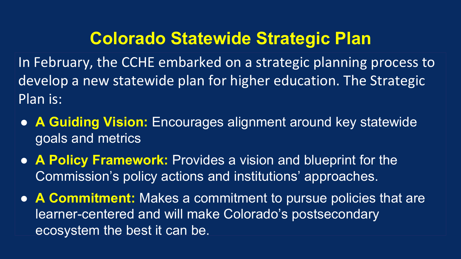## **Colorado Statewide Strategic Plan**

In February, the CCHE embarked on a strategic planning process to develop a new statewide plan for higher education. The Strategic Plan is:

- **A Guiding Vision:** Encourages alignment around key statewide goals and metrics
- **A Policy Framework:** Provides a vision and blueprint for the Commission's policy actions and institutions' approaches.
- **A Commitment:** Makes a commitment to pursue policies that are learner-centered and will make Colorado's postsecondary ecosystem the best it can be.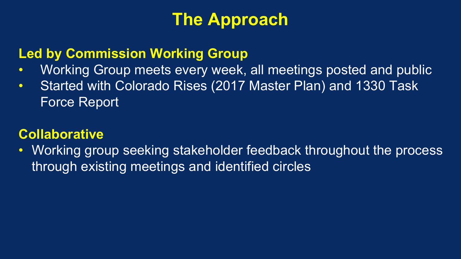# **The Approach**

#### **Led by Commission Working Group**

- Working Group meets every week, all meetings posted and public
- Started with Colorado Rises (2017 Master Plan) and 1330 Task Force Report

#### **Collaborative**

• Working group seeking stakeholder feedback throughout the process through existing meetings and identified circles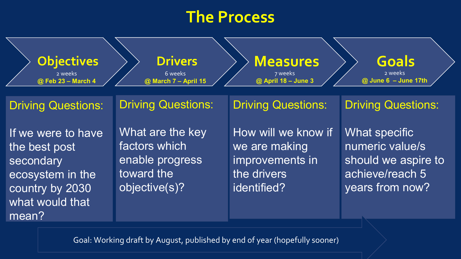### **The Process**

 $\text{Objects}$   $\rightarrow$   $\rightarrow$  Drivers  $\rightarrow$  Measures  $\rightarrow$  Goals Driving Questions: If we were to have the best post secondary ecosystem in the country by 2030 what would that mean? Driving Questions: What are the key factors which enable progress toward the objective(s)? Driving Questions: How will we know if we are making improvements in the drivers identified? Driving Questions: What specific numeric value/s should we aspire to achieve/reach 5 years from now? 2 weeks **@ Feb 23 – March 4** 6 weeks **@ March 7 – April 15** 7 weeks **@ April 18 – June 3** 2 weeks **@ June 6 – June 17th**

Goal: Working draft by August, published by end of year (hopefully sooner)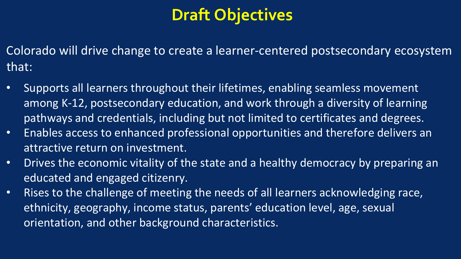## **Draft Objectives**

Colorado will drive change to create a learner-centered postsecondary ecosystem that:

- Supports all learners throughout their lifetimes, enabling seamless movement among K-12, postsecondary education, and work through a diversity of learning pathways and credentials, including but not limited to certificates and degrees.
- Enables access to enhanced professional opportunities and therefore delivers an attractive return on investment.
- Drives the economic vitality of the state and a healthy democracy by preparing an educated and engaged citizenry.
- Rises to the challenge of meeting the needs of all learners acknowledging race, ethnicity, geography, income status, parents' education level, age, sexual orientation, and other background characteristics.